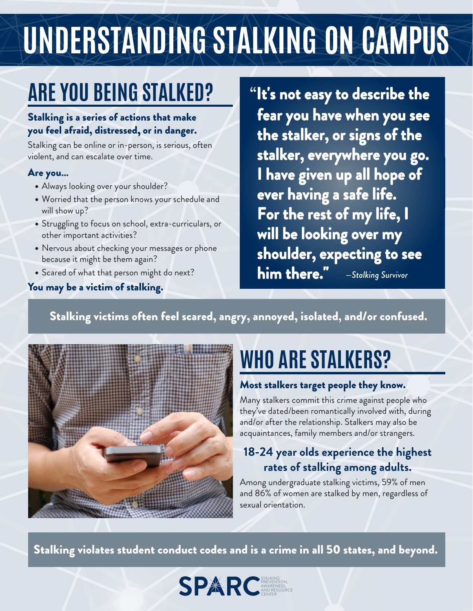# UNDERSTANDING STALKING ON CAMPUS

### **ARE YOU BEING STALKED?**

#### Stalking is a series of actions that make you feel afraid, distressed, or in danger.

Stalking can be online or in-person, is serious, often violent, and can escalate over time.

#### Are you...

- Always looking over your shoulder?
- Worried that the person knows your schedule and will show up?
- Struggling to focus on school, extra-curriculars, or other important activities?
- Nervous about checking your messages or phone because it might be them again?
- Scared of what that person might do next?

#### You may be a victim of stalking.

"It's not easy to describe the fear you have when you see the stalker, or signs of the stalker, everywhere you go. **I** have given up all hope of ever having a safe life. For the rest of my life, I will be looking over my shoulder, expecting to see **him there."** - Stalking Survivor

Stalking victims often feel scared, angry, annoyed, isolated, and/or confused.



# **WHO ARE STALKERS?**

#### Most stalkers target people they know.

Many stalkers commit this crime against people who they've dated/been romantically involved with, during and/or after the relationship. Stalkers may also be acquaintances, family members and/or strangers.

### 18-24 year olds experience the highest rates of stalking among adults.

Among undergraduate stalking victims, 59% of men and 86% of women are stalked by men, regardless of sexual orientation.

Stalking violates student conduct codes and is a crime in all 50 states, and beyond.